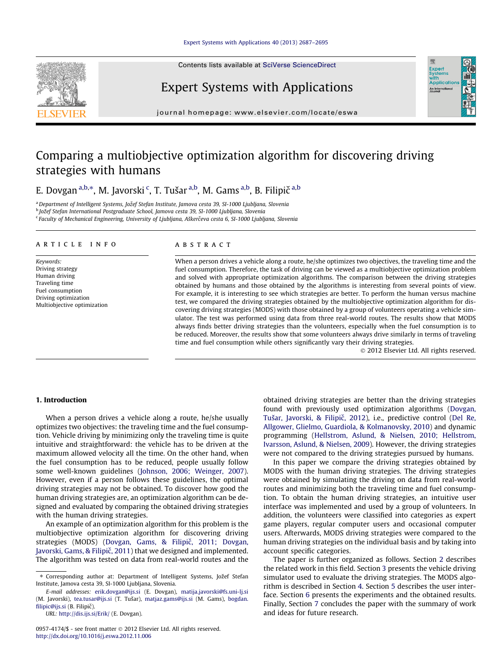## [Expert Systems with Applications 40 \(2013\) 2687–2695](http://dx.doi.org/10.1016/j.eswa.2012.11.006)

Contents lists available at [SciVerse ScienceDirect](http://www.sciencedirect.com/science/journal/09574174)



## Expert Systems with Applications



Expert<br>Syster

journal homepage: [www.elsevier.com/locate/eswa](http://www.elsevier.com/locate/eswa)

# Comparing a multiobjective optimization algorithm for discovering driving strategies with humans

E. Dovgan <sup>a,b,</sup>\*, M. Javorski <sup>c</sup>, T. Tušar <sup>a,b</sup>, M. Gams <sup>a,b</sup>, B. Filipič <sup>a,b</sup>

<sup>a</sup> Department of Intelligent Systems, Jožef Stefan Institute, Jamova cesta 39, SI-1000 Ljubljana, Slovenia <sup>b</sup> Jožef Stefan International Postgraduate School, Jamova cesta 39, SI-1000 Ljubljana, Slovenia  $c$  Faculty of Mechanical Engineering, University of Ljubljana, Aškerčeva cesta 6, SI-1000 Ljubljana, Slovenia

#### article info

Keywords: Driving strategy Human driving Traveling time Fuel consumption Driving optimization Multiobjective optimization

## ABSTRACT

When a person drives a vehicle along a route, he/she optimizes two objectives, the traveling time and the fuel consumption. Therefore, the task of driving can be viewed as a multiobjective optimization problem and solved with appropriate optimization algorithms. The comparison between the driving strategies obtained by humans and those obtained by the algorithms is interesting from several points of view. For example, it is interesting to see which strategies are better. To perform the human versus machine test, we compared the driving strategies obtained by the multiobjective optimization algorithm for discovering driving strategies (MODS) with those obtained by a group of volunteers operating a vehicle simulator. The test was performed using data from three real-world routes. The results show that MODS always finds better driving strategies than the volunteers, especially when the fuel consumption is to be reduced. Moreover, the results show that some volunteers always drive similarly in terms of traveling time and fuel consumption while others significantly vary their driving strategies.

- 2012 Elsevier Ltd. All rights reserved.

#### 1. Introduction

When a person drives a vehicle along a route, he/she usually optimizes two objectives: the traveling time and the fuel consumption. Vehicle driving by minimizing only the traveling time is quite intuitive and straightforward: the vehicle has to be driven at the maximum allowed velocity all the time. On the other hand, when the fuel consumption has to be reduced, people usually follow some well-known guidelines ([Johnson, 2006; Weinger, 2007\)](#page--1-0). However, even if a person follows these guidelines, the optimal driving strategies may not be obtained. To discover how good the human driving strategies are, an optimization algorithm can be designed and evaluated by comparing the obtained driving strategies with the human driving strategies.

An example of an optimization algorithm for this problem is the multiobjective optimization algorithm for discovering driving strategies (MODS) (Dovgan, Gams, & Filipič, 2011; Dovgan, Javorski, Gams, & Filipič, 2011) that we designed and implemented. The algorithm was tested on data from real-world routes and the

E-mail addresses: [erik.dovgan@ijs.si](mailto:erik.dovgan@ijs.si) (E. Dovgan), [matija.javorski@fs.uni-lj.si](mailto:matija.javorski@fs.uni-lj.si) (M. Javorski), [tea.tusar@ijs.si](mailto:tea.tusar@ijs.si) (T. Tušar), [matjaz.gams@ijs.si](mailto:matjaz.gams@ijs.si) (M. Gams), [bogdan.](mailto:bogdan.filipic@ijs.si) [filipic@ijs.si](mailto:bogdan.filipic@ijs.si) (B. Filipič).

URL: <http://dis.ijs.si/Erik/> (E. Dovgan).

obtained driving strategies are better than the driving strategies found with previously used optimization algorithms [\(Dovgan,](#page--1-0) Tušar, Javorski, & Filipič, 2012), i.e., predictive control ([Del Re,](#page--1-0) [Allgower, Glielmo, Guardiola, & Kolmanovsky, 2010\)](#page--1-0) and dynamic programming ([Hellstrom, Aslund, & Nielsen, 2010; Hellstrom,](#page--1-0) [Ivarsson, Aslund, & Nielsen, 2009\)](#page--1-0). However, the driving strategies were not compared to the driving strategies pursued by humans.

In this paper we compare the driving strategies obtained by MODS with the human driving strategies. The driving strategies were obtained by simulating the driving on data from real-world routes and minimizing both the traveling time and fuel consumption. To obtain the human driving strategies, an intuitive user interface was implemented and used by a group of volunteers. In addition, the volunteers were classified into categories as expert game players, regular computer users and occasional computer users. Afterwards, MODS driving strategies were compared to the human driving strategies on the individual basis and by taking into account specific categories.

The paper is further organized as follows. Section [2](#page-1-0) describes the related work in this field. Section [3](#page-1-0) presents the vehicle driving simulator used to evaluate the driving strategies. The MODS algorithm is described in Section [4.](#page-1-0) Section [5](#page--1-0) describes the user interface. Section [6](#page--1-0) presents the experiments and the obtained results. Finally, Section [7](#page--1-0) concludes the paper with the summary of work and ideas for future research.

<sup>\*</sup> Corresponding author at: Department of Intelligent Systems, Jožef Stefan Institute, Jamova cesta 39, SI-1000 Ljubljana, Slovenia.

<sup>0957-4174/\$ -</sup> see front matter © 2012 Elsevier Ltd. All rights reserved. <http://dx.doi.org/10.1016/j.eswa.2012.11.006>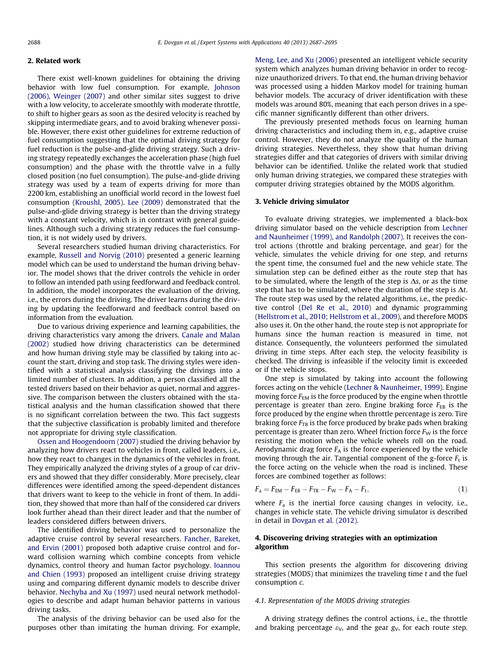## <span id="page-1-0"></span>2. Related work

There exist well-known guidelines for obtaining the driving behavior with low fuel consumption. For example, [Johnson](#page--1-0) [\(2006\), Weinger \(2007\)](#page--1-0) and other similar sites suggest to drive with a low velocity, to accelerate smoothly with moderate throttle, to shift to higher gears as soon as the desired velocity is reached by skipping intermediate gears, and to avoid braking whenever possible. However, there exist other guidelines for extreme reduction of fuel consumption suggesting that the optimal driving strategy for fuel reduction is the pulse-and-glide driving strategy. Such a driving strategy repeatedly exchanges the acceleration phase (high fuel consumption) and the phase with the throttle valve in a fully closed position (no fuel consumption). The pulse-and-glide driving strategy was used by a team of experts driving for more than 2200 km, establishing an unofficial world record in the lowest fuel consumption ([Kroushl, 2005\)](#page--1-0). [Lee \(2009\)](#page--1-0) demonstrated that the pulse-and-glide driving strategy is better than the driving strategy with a constant velocity, which is in contrast with general guidelines. Although such a driving strategy reduces the fuel consumption, it is not widely used by drivers.

Several researchers studied human driving characteristics. For example, [Russell and Norvig \(2010\)](#page--1-0) presented a generic learning model which can be used to understand the human driving behavior. The model shows that the driver controls the vehicle in order to follow an intended path using feedforward and feedback control. In addition, the model incorporates the evaluation of the driving, i.e., the errors during the driving. The driver learns during the driving by updating the feedforward and feedback control based on information from the evaluation.

Due to various driving experience and learning capabilities, the driving characteristics vary among the drivers. [Canale and Malan](#page--1-0) [\(2002\)](#page--1-0) studied how driving characteristics can be determined and how human driving style may be classified by taking into account the start, driving and stop task. The driving styles were identified with a statistical analysis classifying the drivings into a limited number of clusters. In addition, a person classified all the tested drivers based on their behavior as quiet, normal and aggressive. The comparison between the clusters obtained with the statistical analysis and the human classification showed that there is no significant correlation between the two. This fact suggests that the subjective classification is probably limited and therefore not appropriate for driving style classification.

[Ossen and Hoogendoorn \(2007\)](#page--1-0) studied the driving behavior by analyzing how drivers react to vehicles in front, called leaders, i.e., how they react to changes in the dynamics of the vehicles in front. They empirically analyzed the driving styles of a group of car drivers and showed that they differ considerably. More precisely, clear differences were identified among the speed-dependent distances that drivers want to keep to the vehicle in front of them. In addition, they showed that more than half of the considered car drivers look further ahead than their direct leader and that the number of leaders considered differs between drivers.

The identified driving behavior was used to personalize the adaptive cruise control by several researchers. [Fancher, Bareket,](#page--1-0) [and Ervin \(2001\)](#page--1-0) proposed both adaptive cruise control and forward collision warning which combine concepts from vehicle dynamics, control theory and human factor psychology. [Ioannou](#page--1-0) [and Chien \(1993\)](#page--1-0) proposed an intelligent cruise driving strategy using and comparing different dynamic models to describe driver behavior. [Nechyba and Xu \(1997\)](#page--1-0) used neural network methodologies to describe and adapt human behavior patterns in various driving tasks.

The analysis of the driving behavior can be used also for the purposes other than imitating the human driving. For example, [Meng, Lee, and Xu \(2006\)](#page--1-0) presented an intelligent vehicle security system which analyzes human driving behavior in order to recognize unauthorized drivers. To that end, the human driving behavior was processed using a hidden Markov model for training human behavior models. The accuracy of driver identification with these models was around 80%, meaning that each person drives in a specific manner significantly different than other drivers.

The previously presented methods focus on learning human driving characteristics and including them in, e.g., adaptive cruise control. However, they do not analyze the quality of the human driving strategies. Nevertheless, they show that human driving strategies differ and that categories of drivers with similar driving behavior can be identified. Unlike the related work that studied only human driving strategies, we compared these strategies with computer driving strategies obtained by the MODS algorithm.

## 3. Vehicle driving simulator

To evaluate driving strategies, we implemented a black-box driving simulator based on the vehicle description from [Lechner](#page--1-0) [and Naunheimer \(1999\), and Randolph \(2007\)](#page--1-0). It receives the control actions (throttle and braking percentage, and gear) for the vehicle, simulates the vehicle driving for one step, and returns the spent time, the consumed fuel and the new vehicle state. The simulation step can be defined either as the route step that has to be simulated, where the length of the step is  $\Delta s$ , or as the time step that has to be simulated, where the duration of the step is  $\Delta t$ . The route step was used by the related algorithms, i.e., the predictive control [\(Del Re et al., 2010\)](#page--1-0) and dynamic programming ([Hellstrom et al., 2010; Hellstrom et al., 2009\)](#page--1-0), and therefore MODS also uses it. On the other hand, the route step is not appropriate for humans since the human reaction is measured in time, not distance. Consequently, the volunteers performed the simulated driving in time steps. After each step, the velocity feasibility is checked. The driving is infeasible if the velocity limit is exceeded or if the vehicle stops.

One step is simulated by taking into account the following forces acting on the vehicle ([Lechner & Naunheimer, 1999\)](#page--1-0). Engine moving force  $F_{EM}$  is the force produced by the engine when throttle percentage is greater than zero. Engine braking force  $F_{EB}$  is the force produced by the engine when throttle percentage is zero. Tire braking force  $F_{TB}$  is the force produced by brake pads when braking percentage is greater than zero. Wheel friction force  $F_W$  is the force resisting the motion when the vehicle wheels roll on the road. Aerodynamic drag force  $F_A$  is the force experienced by the vehicle moving through the air. Tangential component of the g-force  $F_t$  is the force acting on the vehicle when the road is inclined. These forces are combined together as follows:

$$
F_{a} = F_{EM} - F_{EB} - F_{TB} - F_{W} - F_{A} - F_{t}, \qquad (1)
$$

where  $F_a$  is the inertial force causing changes in velocity, i.e., changes in vehicle state. The vehicle driving simulator is described in detail in [Dovgan et al. \(2012\).](#page--1-0)

## 4. Discovering driving strategies with an optimization algorithm

This section presents the algorithm for discovering driving strategies (MODS) that minimizes the traveling time  $t$  and the fuel consumption c.

## 4.1. Representation of the MODS driving strategies

A driving strategy defines the control actions, i.e., the throttle and braking percentage  $\varepsilon_V$ , and the gear  $g_V$ , for each route step.